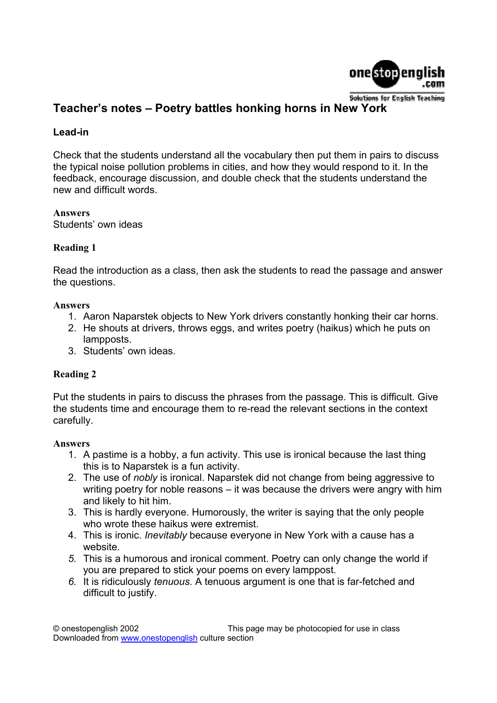

# **Teacher's notes – Poetry battles honking horns in New York**

# **Lead-in**

Check that the students understand all the vocabulary then put them in pairs to discuss the typical noise pollution problems in cities, and how they would respond to it. In the feedback, encourage discussion, and double check that the students understand the new and difficult words.

**Answers**  Students' own ideas

# **Reading 1**

Read the introduction as a class, then ask the students to read the passage and answer the questions.

#### **Answers**

- 1. Aaron Naparstek objects to New York drivers constantly honking their car horns.
- 2. He shouts at drivers, throws eggs, and writes poetry (haikus) which he puts on lampposts.
- 3. Students' own ideas.

# **Reading 2**

Put the students in pairs to discuss the phrases from the passage. This is difficult. Give the students time and encourage them to re-read the relevant sections in the context carefully.

#### **Answers**

- 1. A pastime is a hobby, a fun activity. This use is ironical because the last thing this is to Naparstek is a fun activity.
- 2. The use of *nobly* is ironical. Naparstek did not change from being aggressive to writing poetry for noble reasons – it was because the drivers were angry with him and likely to hit him.
- 3. This is hardly everyone. Humorously, the writer is saying that the only people who wrote these haikus were extremist.
- 4. This is ironic. *Inevitably* because everyone in New York with a cause has a website.
- *5.* This is a humorous and ironical comment. Poetry can only change the world if you are prepared to stick your poems on every lamppost.
- *6.* It is ridiculously *tenuous*. A tenuous argument is one that is far-fetched and difficult to justify.